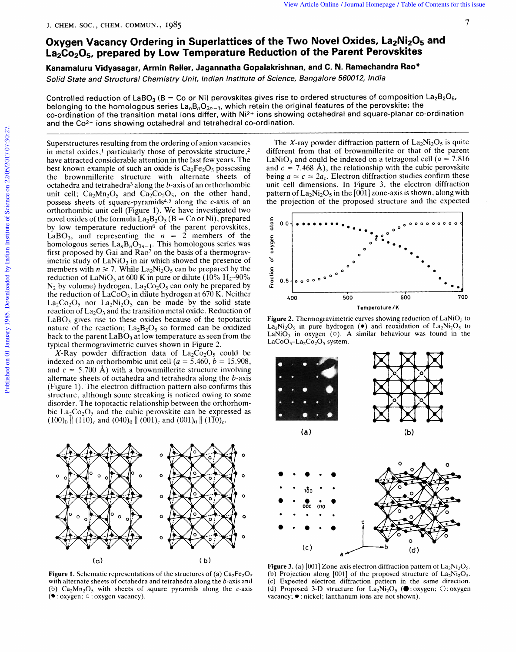## **Oxygen Vacancy Ordering**  View Article Online / Journal Homepage / Table of Contents for this issue<br>J. CHEM. SOC., CHEM. COMMUN., 1985<br>Currence Moncouncy Ourleaving in Superlettings of the Ture Novel Oxides, J.a. Ni. O., and *in Superlattices of the Two Novel Oxides, La<sub>2</sub>Ni<sub>2</sub>O<sub>5</sub> and <sup>7</sup>* **La2C0205, prepared by Low Temperature Reduction of the Parent Perovskites**  Iomepage / Table of Contents for this issue<br> **7**<br> **195, La<sub>2</sub>Ni<sub>2</sub>O<sub>5</sub> and<br>
Perovskites<br>
chandra Rao\*<br>
India<br>
of composition La<sub>2</sub>B<sub>2O5</sub>,**

**Kanamaluru Vidyasagar, Armin Reller, Jagannatha Gopalakrishnan, and C. N. Ramachandra Rao\*** 

Solid State and Structural Chemistry Unit, Indian Institute of Science, Bangalore 560012,

Controlled reduction of LaBO<sub>3</sub> (B = Co or Ni) perovskites gives rise to ordered structures of composition La<sub>2</sub>B<sub>2</sub>O<sub>5</sub>, belonging to the homologous series  $La_nB_nO_{3n-1}$ , which retain the original features of the perovskite; the co-ordination of the transition metal ions differ, with Ni2+ ions showing octahedral and square-planar co-ordination and the Co2+ ions showing octahedral and tetrahedral co-ordination.

Superstructures resulting from the ordering of anion vacancies in metal oxides,' particularly those of perovskite structure *,2*  have attracted considerable attention in the last few years. The best known example of such an oxide is  $Ca<sub>2</sub>Fe<sub>2</sub>O<sub>5</sub>$  possessing the brownmillerite structure with alternate sheets of octahedra and tetrahedra3 along the b-axis of an orthorhombic unit cell;  $Ca<sub>2</sub>Mn<sub>2</sub>O<sub>5</sub>$  and  $Ca<sub>2</sub>Co<sub>2</sub>O<sub>5</sub>$ , on the other hand, possess sheets of square-pyramids<sup>4,5</sup> along the c-axis of an orthorhombic unit cell (Figure 1). We have investigated two novel oxides of the formula  $La_2B_2O_5$  (B = Co or Ni), prepared by low temperature reduction<sup>6</sup> of the parent perovskites, LaBO<sub>3</sub>, and representing the  $n = 2$  members of the LaBO<sub>3</sub>, and representing the *zyxival cancel* with a methanic stress of an orthorhombic unit cell clearly and Ca<sub>2</sub>Co<sub>2</sub>O<sub>5</sub>, on the other hand, pattern of La<sub>2</sub>Ni<sub>2</sub>O<sub>5</sub> in the [001] zone-axis is shown, along with the p homologous series  $La_nB_nO_{3n-1}$ . This homologous series was first proposed by Gai and Ra07 on the basis of a thermogravimetric study of LaNiO<sub>3</sub> in air which showed the presence of members with  $n \ge 7$ . While La<sub>2</sub>Ni<sub>2</sub>O<sub>5</sub> can be prepared by the reduction of LaNiO<sub>3</sub> at 600 K in pure or dilute (10%  $H_2$ -90%  $N_2$  by volume) hydrogen,  $La_2Co_2O_5$  can only be prepared by the reduction of  $LaCoO<sub>3</sub>$  in dilute hydrogen at 670 K. Neither  $La_2Co_2O_5$  nor  $La_2Ni_2O_5$  can be made by the solid state reaction of  $La<sub>2</sub>O<sub>3</sub>$  and the transition metal oxide. Reduction of  $LaBO<sub>3</sub>$  gives rise to these oxides because of the topotactic nature of the reaction;  $La_2B_2O_5$  so formed can be oxidized back to the parent  $LaBO<sub>3</sub>$  at low temperature as seen from the typical thermogravimetric curves shown in Figure 2.

X-Ray powder diffraction data of  $La_2Co_2O_5$  could be indexed on an orthorhombic unit cell ( $a = 5.460$ ,  $b = 15.908$ , and  $c = 5.700$  Å) with a brownmillerite structure involving alternate sheets of octahedra and tetrahedra along the b-axis (Figure 1). The electron diffraction pattern also confirms this structure, although some streaking is noticed owing to some disorder. The topotactic relationship between the orthorhombic  $La_2Co_2O_5$  and the cubic perovskite can be expressed as  $(100)_0$   $\parallel (110)_c$  and  $(040)_0 \parallel (001)_c$  and  $(001)_0 \parallel (1\overline{10})_c$ .



**Figure 1.** Schematic representations of the structures of (a)  $Ca<sub>2</sub>Fe<sub>2</sub>O<sub>5</sub>$ with alternate sheets of octahedra and tetrahedra along the b-axis and (b)  $Ca<sub>2</sub>Mn<sub>2</sub>O<sub>5</sub>$  with sheets of square pyramids along the c-axis ( $\bullet$  : oxygen;  $\circ$  : oxygen vacancy).

The X-ray powder diffraction pattern of  $La_2Ni_2O_5$  is quite different from that of brownmillerite or that of the parent LaNiO<sub>3</sub> and could be indexed on a tetragonal cell ( $a = 7.816$ ) and  $c = 7.468$  Å), the relationship with the cubic perovskite being  $a \approx c \approx 2a_c$ . Electron diffraction studies confirm these unit cell dimensions. In Figure *3,* the electron diffraction pattern of  $La_2Ni_2O_5$  in the [001] zone-axis is shown, along with the projection of the proposed structure and the expected



**Figure 2.** Thermogravimetric curves showing reduction of  $LaNiO<sub>3</sub>$  to  $La<sub>2</sub>N<sub>2</sub>O<sub>5</sub>$  in pure hydrogen ( $\bullet$ ) and reoxidation of  $La<sub>2</sub>N<sub>2</sub>O<sub>5</sub>$  to  $LaCoO<sub>3</sub>-La<sub>2</sub>Co<sub>2</sub>O<sub>5</sub> system.$ 



**Figure 3.** (a)  $[001]$  Zone-axis electron diffraction pattern of  $La_2Ni_2O_5$ . (b) Projection along [001] of the proposed structure of  $La_2Ni_2O_5$ . (c) Expected electron diffraction pattern in the same direction. (d) Proposed 3-D structure for  $La_2Ni_2O_5$  ( $\bullet$  : oxygen;  $\bigcirc$  : oxygen vacancy;  $\bullet$  : nickel; lanthanum ions are not shown).

 $(d)$ 

 $(c)$